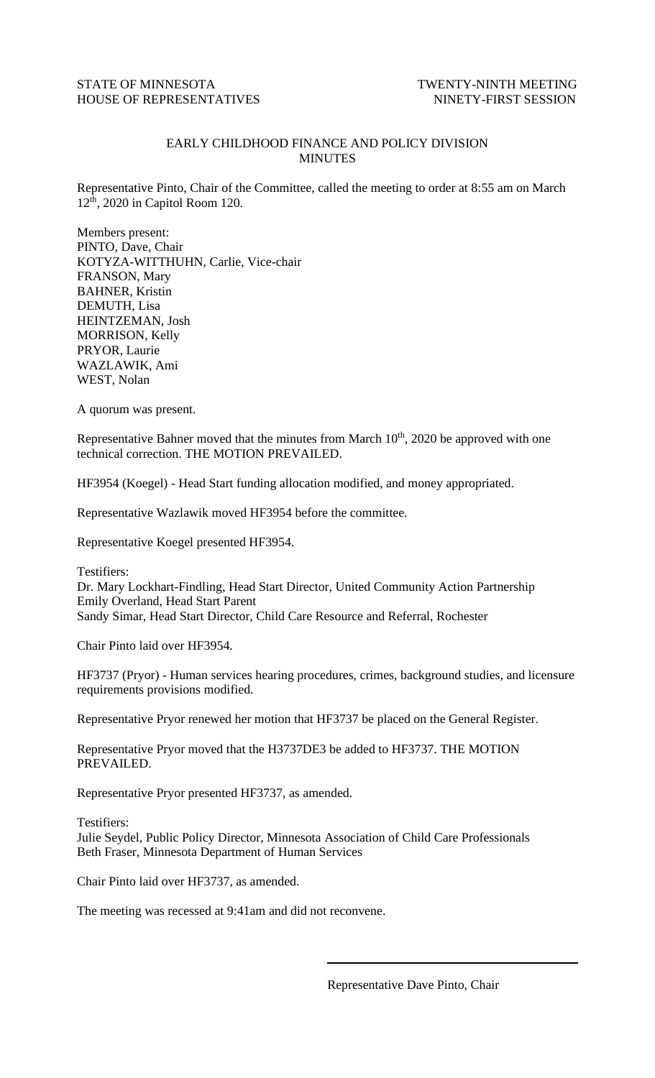## STATE OF MINNESOTA TWENTY-NINTH MEETING HOUSE OF REPRESENTATIVES NINETY-FIRST SESSION

## EARLY CHILDHOOD FINANCE AND POLICY DIVISION **MINUTES**

Representative Pinto, Chair of the Committee, called the meeting to order at 8:55 am on March 12 th, 2020 in Capitol Room 120.

Members present: PINTO, Dave, Chair KOTYZA-WITTHUHN, Carlie, Vice-chair FRANSON, Mary BAHNER, Kristin DEMUTH, Lisa HEINTZEMAN, Josh MORRISON, Kelly PRYOR, Laurie WAZLAWIK, Ami WEST, Nolan

A quorum was present.

Representative Bahner moved that the minutes from March  $10<sup>th</sup>$ , 2020 be approved with one technical correction. THE MOTION PREVAILED.

HF3954 (Koegel) - Head Start funding allocation modified, and money appropriated.

Representative Wazlawik moved HF3954 before the committee.

Representative Koegel presented HF3954.

Testifiers: Dr. Mary Lockhart-Findling, Head Start Director, United Community Action Partnership Emily Overland, Head Start Parent Sandy Simar, Head Start Director, Child Care Resource and Referral, Rochester

Chair Pinto laid over HF3954.

HF3737 (Pryor) - Human services hearing procedures, crimes, background studies, and licensure requirements provisions modified.

Representative Pryor renewed her motion that HF3737 be placed on the General Register.

Representative Pryor moved that the H3737DE3 be added to HF3737. THE MOTION PREVAILED.

Representative Pryor presented HF3737, as amended.

Testifiers:

Julie Seydel, Public Policy Director, Minnesota Association of Child Care Professionals Beth Fraser, Minnesota Department of Human Services

Chair Pinto laid over HF3737, as amended.

The meeting was recessed at 9:41am and did not reconvene.

Representative Dave Pinto, Chair